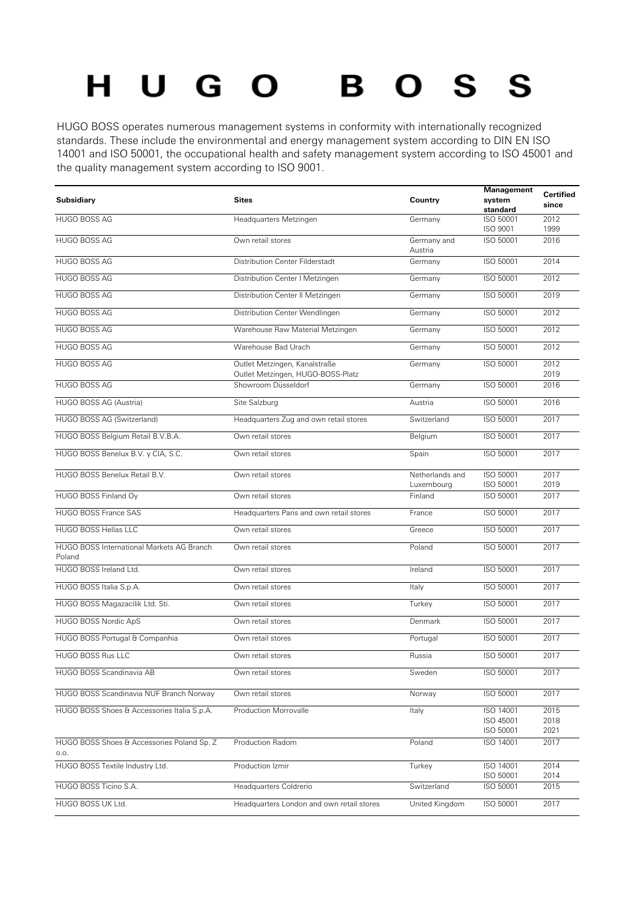## $O<sub>S</sub>$ HUGO **S** B

HUGO BOSS operates numerous management systems in conformity with internationally recognized standards. These include the environmental and energy management system according to DIN EN ISO 14001 and ISO 50001, the occupational health and safety management system according to ISO 45001 and the quality management system according to ISO 9001.

| Subsidiary                                          | <b>Sites</b>                                                       | Country                       | Management<br>system<br>standard    | <b>Certified</b><br>since |
|-----------------------------------------------------|--------------------------------------------------------------------|-------------------------------|-------------------------------------|---------------------------|
| HUGO BOSS AG                                        | Headquarters Metzingen                                             | Germany                       | ISO 50001<br>ISO 9001               | 2012<br>1999              |
| <b>HUGO BOSS AG</b>                                 | Own retail stores                                                  | Germany and<br>Austria        | ISO 50001                           | 2016                      |
| <b>HUGO BOSS AG</b>                                 | Distribution Center Filderstadt                                    | Germany                       | ISO 50001                           | 2014                      |
| HUGO BOSS AG                                        | Distribution Center   Metzingen                                    | Germany                       | ISO 50001                           | 2012                      |
| <b>HUGO BOSS AG</b>                                 | Distribution Center II Metzingen                                   | Germany                       | ISO 50001                           | 2019                      |
| <b>HUGO BOSS AG</b>                                 | Distribution Center Wendlingen                                     | Germany                       | ISO 50001                           | 2012                      |
| HUGO BOSS AG                                        | Warehouse Raw Material Metzingen                                   | Germany                       | ISO 50001                           | 2012                      |
| <b>HUGO BOSS AG</b>                                 | Warehouse Bad Urach                                                | Germany                       | ISO 50001                           | 2012                      |
| <b>HUGO BOSS AG</b>                                 | Outlet Metzingen, Kanalstraße<br>Outlet Metzingen, HUGO-BOSS-Platz | Germany                       | ISO 50001                           | 2012<br>2019              |
| <b>HUGO BOSS AG</b>                                 | Showroom Düsseldorf                                                | Germany                       | ISO 50001                           | 2016                      |
| HUGO BOSS AG (Austria)                              | Site Salzburg                                                      | Austria                       | ISO 50001                           | 2016                      |
| HUGO BOSS AG (Switzerland)                          | Headquarters Zug and own retail stores                             | Switzerland                   | ISO 50001                           | 2017                      |
| HUGO BOSS Belgium Retail B.V.B.A.                   | Own retail stores                                                  | Belgium                       | ISO 50001                           | 2017                      |
| HUGO BOSS Benelux B.V. y CIA, S.C.                  | Own retail stores                                                  | Spain                         | ISO 50001                           | 2017                      |
| HUGO BOSS Benelux Retail B.V.                       | Own retail stores                                                  | Netherlands and<br>Luxembourg | ISO 50001<br>ISO 50001              | 2017<br>2019              |
| HUGO BOSS Finland Ov                                | Own retail stores                                                  | Finland                       | ISO 50001                           | 2017                      |
| <b>HUGO BOSS France SAS</b>                         | Headquarters Paris and own retail stores                           | France                        | ISO 50001                           | 2017                      |
| <b>HUGO BOSS Hellas LLC</b>                         | Own retail stores                                                  | Greece                        | ISO 50001                           | 2017                      |
| HUGO BOSS International Markets AG Branch<br>Poland | Own retail stores                                                  | Poland                        | ISO 50001                           | 2017                      |
| HUGO BOSS Ireland Ltd.                              | Own retail stores                                                  | Ireland                       | ISO 50001                           | 2017                      |
| HUGO BOSS Italia S.p.A.                             | Own retail stores                                                  | Italy                         | ISO 50001                           | 2017                      |
| HUGO BOSS Magazacilik Ltd. Sti.                     | Own retail stores                                                  | Turkey                        | ISO 50001                           | 2017                      |
| HUGO BOSS Nordic ApS                                | Own retail stores                                                  | Denmark                       | ISO 50001                           | 2017                      |
| HUGO BOSS Portugal & Companhia                      | Own retail stores                                                  | Portugal                      | ISO 50001                           | 2017                      |
| <b>HUGO BOSS Rus LLC</b>                            | Own retail stores                                                  | Russia                        | ISO 50001                           | 2017                      |
| HUGO BOSS Scandinavia AB                            | Own retail stores                                                  | Sweden                        | ISO 50001                           | 2017                      |
| HUGO BOSS Scandinavia NUF Branch Norway             | Own retail stores                                                  | Norway                        | ISO 50001                           | 2017                      |
| HUGO BOSS Shoes & Accessories Italia S.p.A.         | Production Morrovalle                                              | Italy                         | ISO 14001<br>ISO 45001<br>ISO 50001 | 2015<br>2018<br>2021      |
| HUGO BOSS Shoes & Accessories Poland Sp. Z<br>0.0.  | Production Radom                                                   | Poland                        | ISO 14001                           | 2017                      |
| HUGO BOSS Textile Industry Ltd.                     | Production Izmir                                                   | Turkey                        | ISO 14001<br>ISO 50001              | 2014                      |
| HUGO BOSS Ticino S.A.                               | Headquarters Coldrerio                                             | Switzerland                   | ISO 50001                           | 2014<br>2015              |
| HUGO BOSS UK Ltd.                                   | Headquarters London and own retail stores                          | United Kingdom                | ISO 50001                           | 2017                      |